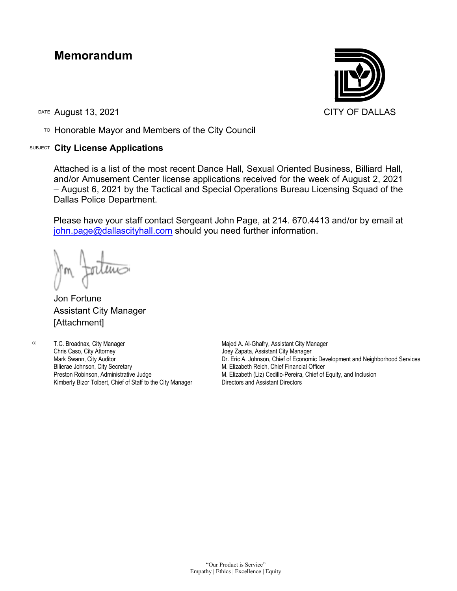## **Memorandum**

DATE August 13, 2021 CITY OF DALLAS

TO Honorable Mayor and Members of the City Council

## SUBJECT **City License Applications**



Attached is a list of the most recent Dance Hall, Sexual Oriented Business, Billiard Hall, and/or Amusement Center license applications received for the week of August 2, 2021 – August 6, 2021 by the Tactical and Special Operations Bureau Licensing Squad of the Dallas Police Department.

Please have your staff contact Sergeant John Page, at 214. 670.4413 and/or by email at [john.page@dallascityhall.com](mailto:john.page@dallascityhall.com) should you need further information.

Jon Fortune Assistant City Manager [Attachment]

c: T.C. Broadnax, City Manager Chris Caso, City Attorney Mark Swann, City Auditor Bilierae Johnson, City Secretary Preston Robinson, Administrative Judge Kimberly Bizor Tolbert, Chief of Staff to the City Manager

Majed A. Al-Ghafry, Assistant City Manager Joey Zapata, Assistant City Manager Dr. Eric A. Johnson, Chief of Economic Development and Neighborhood Services M. Elizabeth Reich, Chief Financial Officer M. Elizabeth (Liz) Cedillo-Pereira, Chief of Equity, and Inclusion Directors and Assistant Directors